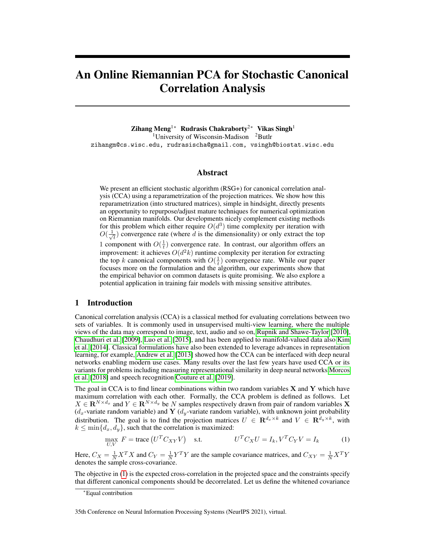# An Online Riemannian PCA for Stochastic Canonical Correlation Analysis

Zihang Meng1<sup>∗</sup> Rudrasis Chakraborty2<sup>∗</sup> Vikas Singh<sup>1</sup> <sup>1</sup>University of Wisconsin-Madison  $2B$ utlr zihangm@cs.wisc.edu, rudrasischa@gmail.com, vsingh@biostat.wisc.edu

#### Abstract

We present an efficient stochastic algorithm (RSG+) for canonical correlation analysis (CCA) using a reparametrization of the projection matrices. We show how this reparametrization (into structured matrices), simple in hindsight, directly presents an opportunity to repurpose/adjust mature techniques for numerical optimization on Riemannian manifolds. Our developments nicely complement existing methods for this problem which either require  $O(d^3)$  time complexity per iteration with  $O(\frac{1}{\sqrt{2}})$  $\overline{t}_{\overline{t}}$ ) convergence rate (where d is the dimensionality) or only extract the top 1 component with  $O(\frac{1}{t})$  convergence rate. In contrast, our algorithm offers an improvement: it achieves  $O(d^2k)$  runtime complexity per iteration for extracting the top k canonical components with  $O(\frac{1}{t})$  convergence rate. While our paper focuses more on the formulation and the algorithm, our experiments show that the empirical behavior on common datasets is quite promising. We also explore a potential application in training fair models with missing sensitive attributes.

## 1 Introduction

Canonical correlation analysis (CCA) is a classical method for evaluating correlations between two sets of variables. It is commonly used in unsupervised multi-view learning, where the multiple views of the data may correspond to image, text, audio and so on, [Rupnik and Shawe-Taylor](#page-11-0) [\[2010\]](#page-11-0), [Chaudhuri et al.](#page-10-0) [\[2009\]](#page-10-0), [Luo et al.](#page-11-1) [\[2015\]](#page-11-1), and has been applied to manifold-valued data also [Kim](#page-11-2) [et al.](#page-11-2) [\[2014\]](#page-11-2). Classical formulations have also been extended to leverage advances in representation learning, for example, [Andrew et al.](#page-10-1) [\[2013\]](#page-10-1) showed how the CCA can be interfaced with deep neural networks enabling modern use cases. Many results over the last few years have used CCA or its variants for problems including measuring representational similarity in deep neural networks [Morcos](#page-11-3) [et al.](#page-11-3) [\[2018\]](#page-11-3) and speech recognition [Couture et al.](#page-10-2) [\[2019\]](#page-10-2).

The goal in CCA is to find linear combinations within two random variables  $X$  and  $Y$  which have maximum correlation with each other. Formally, the CCA problem is defined as follows. Let  $X \in \mathbf{R}^{N \times d_x}$  and  $Y \in \mathbf{R}^{N \times d_y}$  be N samples respectively drawn from pair of random variables X  $(d_x$ -variate random variable) and Y  $(d_y$ -variate random variable), with unknown joint probability distribution. The goal is to find the projection matrices  $U \in \mathbb{R}^{d_x \times k}$  and  $V \in \mathbb{R}^{d_y \times k}$ , with  $k \leq \min\{d_x, d_y\}$ , such that the correlation is maximized:

<span id="page-0-0"></span>
$$
\max_{U,V} F = \text{trace}\left(U^T C_{XY} V\right) \quad \text{s.t.} \qquad \qquad U^T C_X U = I_k, V^T C_Y V = I_k \tag{1}
$$

Here,  $C_X = \frac{1}{N} X^T X$  and  $C_Y = \frac{1}{N} Y^T Y$  are the sample covariance matrices, and  $C_{XY} = \frac{1}{N} X^T Y$ denotes the sample cross-covariance.

The objective in [\(1\)](#page-0-0) is the expected cross-correlation in the projected space and the constraints specify that different canonical components should be decorrelated. Let us define the whitened covariance

<sup>∗</sup>Equal contribution

<sup>35</sup>th Conference on Neural Information Processing Systems (NeurIPS 2021), virtual.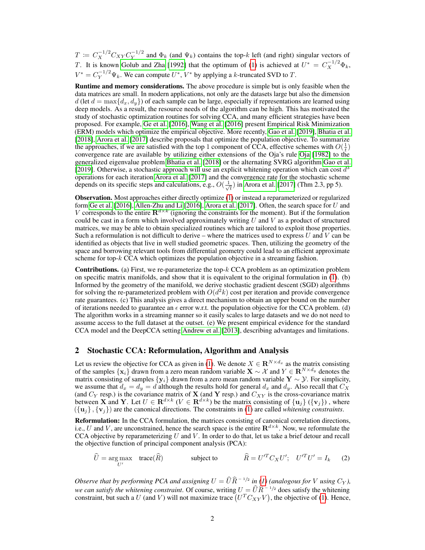$T \coloneqq C_X^{-1/2} C_{XY} C_Y^{-1/2}$  $\sum_{i=1}^{N} Y^{1/2}$  and  $\Phi_k$  (and  $\Psi_k$ ) contains the top-k left (and right) singular vectors of T. It is known [Golub and Zha](#page-10-3) [\[1992\]](#page-10-3) that the optimum of [\(1\)](#page-0-0) is achieved at  $U^* = C_X^{-1/2} \Phi_k$ ,  $V^* = C_Y^{-1/2} \Psi_k$ . We can compute  $U^*$ ,  $V^*$  by applying a k-truncated SVD to T.

Runtime and memory considerations. The above procedure is simple but is only feasible when the data matrices are small. In modern applications, not only are the datasets large but also the dimension  $d$  (let  $d = \max\{d_x, d_y\}$ ) of each sample can be large, especially if representations are learned using deep models. As a result, the resource needs of the algorithm can be high. This has motivated the study of stochastic optimization routines for solving CCA, and many efficient strategies have been proposed. For example, [Ge et al.](#page-10-4) [\[2016\]](#page-10-4), [Wang et al.](#page-11-4) [\[2016\]](#page-11-4) present Empirical Risk Minimization (ERM) models which optimize the empirical objective. More recently, [Gao et al.](#page-10-5) [\[2019\]](#page-10-5), [Bhatia et al.](#page-10-6) [\[2018\]](#page-10-6), [Arora et al.](#page-10-7) [\[2017\]](#page-10-7) describe proposals that optimize the population objective. To summarize the approaches, if we are satisfied with the top 1 component of CCA, effective schemes with  $O(\frac{1}{t})$ convergence rate are available by utilizing either extensions of the Oja's rule [Oja](#page-11-5) [\[1982\]](#page-11-5) to the generalized eigenvalue problem [Bhatia et al.](#page-10-6) [\[2018\]](#page-10-6) or the alternating SVRG algorithm [Gao et al.](#page-10-5) [\[2019\]](#page-10-5). Otherwise, a stochastic approach will use an explicit whitening operation which can cost  $d^3$ operations for each iteration [Arora et al.](#page-10-7) [\[2017\]](#page-10-7) and the convergence rate for the stochastic scheme depends on its specific steps and calculations, e.g.,  $O(\frac{1}{\sqrt{2}})$  $\frac{1}{\overline{t}}$ ) in [Arora et al.](#page-10-7) [\[2017\]](#page-10-7) (Thm 2.3, pp 5).

Observation. Most approaches either directly optimize [\(1\)](#page-0-0) or instead a reparameterized or regularized form [Ge et al.](#page-10-4) [\[2016\]](#page-10-8), [Allen-Zhu and Li](#page-10-8) [2016], [Arora et al.](#page-10-7) [\[2017\]](#page-10-7). Often, the search space for  $U$  and V corresponds to the entire  $\mathbf{R}^{d \times k}$  (ignoring the constraints for the moment). But if the formulation could be cast in a form which involved approximately writing  $U$  and  $V$  as a product of structured matrices, we may be able to obtain specialized routines which are tailored to exploit those properties. Such a reformulation is not difficult to derive – where the matrices used to express  $U$  and  $V$  can be identified as objects that live in well studied geometric spaces. Then, utilizing the geometry of the space and borrowing relevant tools from differential geometry could lead to an efficient approximate scheme for top- $k$  CCA which optimizes the population objective in a streaming fashion.

**Contributions.** (a) First, we re-parameterize the top- $k$  CCA problem as an optimization problem on specific matrix manifolds, and show that it is equivalent to the original formulation in [\(1\)](#page-0-0). (b) Informed by the geometry of the manifold, we derive stochastic gradient descent (SGD) algorithms for solving the re-parameterized problem with  $O(d^2k)$  cost per iteration and provide convergence rate guarantees. (c) This analysis gives a direct mechanism to obtain an upper bound on the number of iterations needed to guarantee an  $\epsilon$  error w.r.t. the population objective for the CCA problem. (d) The algorithm works in a streaming manner so it easily scales to large datasets and we do not need to assume access to the full dataset at the outset. (e) We present empirical evidence for the standard CCA model and the DeepCCA setting [Andrew et al.](#page-10-1) [\[2013\]](#page-10-1), describing advantages and limitations.

## <span id="page-1-1"></span>2 Stochastic CCA: Reformulation, Algorithm and Analysis

Let us review the objective for CCA as given in [\(1\)](#page-0-0). We denote  $X \in \mathbb{R}^{N \times d_x}$  as the matrix consisting of the samples  $\{x_i\}$  drawn from a zero mean random variable  $X \sim \mathcal{X}$  and  $Y \in \mathbb{R}^{N \times d_y}$  denotes the matrix consisting of samples  $\{y_i\}$  drawn from a zero mean random variable  $Y \sim \mathcal{Y}$ . For simplicity, we assume that  $d_x = d_y = d$  although the results hold for general  $d_x$  and  $d_y$ . Also recall that  $C_X$ (and  $C_Y$  resp.) is the covariance matrix of **X** (and **Y** resp.) and  $C_{XY}$  is the cross-covariance matrix between **X** and **Y**. Let  $U \in \mathbf{R}^{d \times k}$  ( $V \in \mathbf{R}^{d \times k}$ ) be the matrix consisting of  $\{u_j\}$  ( $\{v_j\}$ ), where  $({u_i}, {v_i})$  are the canonical directions. The constraints in [\(1\)](#page-0-0) are called *whitening constraints*.

Reformulation: In the CCA formulation, the matrices consisting of canonical correlation directions, i.e., U and V, are unconstrained, hence the search space is the entire  $\mathbf{R}^{d \times k}$ . Now, we reformulate the CCA objective by reparameterizing  $U$  and  $V$ . In order to do that, let us take a brief detour and recall the objective function of principal component analysis (PCA):

<span id="page-1-0"></span>
$$
\widehat{U} = \underset{U'}{\text{arg}\max} \quad \text{trace}(\widehat{R}) \qquad \qquad \text{subject to} \qquad \qquad \widehat{R} = U'^{T}C_{X}U'; \quad U'^{T}U' = I_{k} \qquad (2)
$$

*Observe that by performing PCA and assigning*  $U = \hat{U} \hat{R}^{-1/2}$  in [\(1\)](#page-0-0) (analogous for V using  $C_Y$ ), *we can satisfy the whitening constraint*. Of course, writing  $U = \widehat{U}\widehat{R}^{-1/2}$  does satisfy the whitening constraint, but such a U (and V) will not maximize trace  $(U^T C_{XY} V)$ , the objective of [\(1\)](#page-0-0). Hence,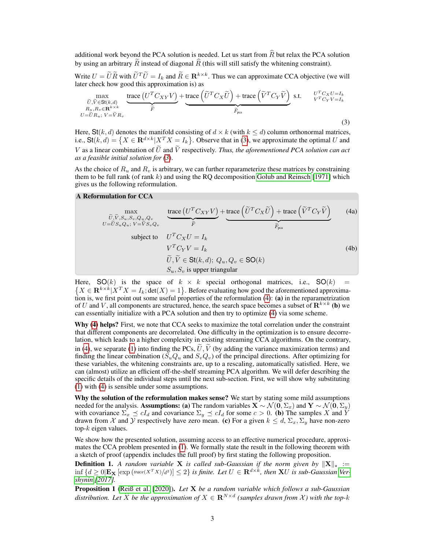additional work beyond the PCA solution is needed. Let us start from  $\widehat{R}$  but relax the PCA solution by using an arbitrary  $\tilde{R}$  instead of diagonal  $\hat{R}$  (this will still satisfy the whitening constraint).

Write  $U = \widetilde{U}\widetilde{R}$  with  $\widetilde{U}^T\widetilde{U} = I_k$  and  $\widetilde{R} \in \mathbb{R}^{k \times k}$ . Thus we can approximate CCA objective (we will later check how good this approximation is) as

<span id="page-2-0"></span>
$$
\max_{\substack{\tilde{U}, \tilde{V} \in \mathbf{St}(k,d) \\ R_u, R_v \in \mathbf{R}^{k \times k} \\ U = \tilde{U}R_u; V = \tilde{V}R_v}} \underbrace{\text{trace}\left(U^T C_{XY} V\right)}_{\tilde{F}} + \underbrace{\text{trace}\left(\tilde{U}^T C_X \tilde{U}\right) + \text{trace}\left(\tilde{V}^T C_Y \tilde{V}\right)}_{\tilde{F}_{\text{pea}}} \text{ s.t. } \underbrace{U^T C_X U = I_k}_{V^T C_Y V = I_k} \tag{3}
$$

Here,  $\mathbf{St}(k, d)$  denotes the manifold consisting of  $d \times k$  (with  $k \leq d$ ) column orthonormal matrices, i.e.,  $\text{St}(k, d) = \{ X \in \mathbf{R}^{d \times k} | X^T X = I_k \}$ . Observe that in [\(3\)](#page-2-0), we approximate the optimal U and V as a linear combination of  $\tilde{U}$  and  $\tilde{V}$  respectively. *Thus, the aforementioned PCA solution can act as a feasible initial solution for [\(3](#page-2-0)*).

As the choice of  $R_u$  and  $R_v$  is arbitrary, we can further reparameterize these matrices by constraining them to be full rank (of rank  $k$ ) and using the RQ decomposition [Golub and Reinsch](#page-10-9) [\[1971\]](#page-10-9) which gives us the following reformulation.

#### <span id="page-2-1"></span>A Reformulation for CCA

<span id="page-2-3"></span>
$$
\begin{array}{ll}\n\text{max} & \text{trace}\left(U^T C_{XY} V\right) + \text{trace}\left(\tilde{U}^T C_X \tilde{U}\right) + \text{trace}\left(\tilde{V}^T C_Y \tilde{V}\right) \\
U = \tilde{U} S_u Q_u; \ V = \tilde{V} S_v Q_v & \tilde{F} \\
\text{subject to} & U^T C_X U = I_k \\
& V^T C_Y V = I_k \\
& \tilde{U}, \tilde{V} \in \text{St}(k, d); \ Q_u, Q_v \in \text{SO}(k) \\
& S_u, S_v \text{ is upper triangular}\n\end{array} \tag{4a}
$$

Here,  $SO(k)$  is the space of  $k \times k$  special orthogonal matrices, i.e.,  $SO(k)$  $\{X \in \mathbf{R}^{k \times k} | X^T X = I_k; \det(X) = 1 \}$ . Before evaluating how good the aforementioned approximation is, we first point out some useful properties of the reformulation [\(4\)](#page-2-1): (a) in the reparametrization of U and V, all components are structured, hence, the search space becomes a subset of  $\mathbb{R}^{k \times k}$  (b) we can essentially initialize with a PCA solution and then try to optimize [\(4\)](#page-2-1) via some scheme.

Why [\(4\)](#page-2-1) helps? First, we note that CCA seeks to maximize the total correlation under the constraint that different components are decorrelated. One difficulty in the optimization is to ensure decorrelation, which leads to a higher complexity in existing streaming CCA algorithms. On the contrary, in [\(4\)](#page-2-1), we separate [\(1\)](#page-0-0) into finding the PCs,  $\hat{U}$ ,  $\hat{V}$  (by adding the variance maximization terms) and finding the linear combination ( $S_uQ_u$  and  $S_vQ_v$ ) of the principal directions. After optimizing for these variables, the whitening constraints are, up to a rescaling, automatically satisfied. Here, we can (almost) utilize an efficient off-the-shelf streaming PCA algorithm. We will defer describing the specific details of the individual steps until the next sub-section. First, we will show why substituting [\(1\)](#page-0-0) with [\(4\)](#page-2-1) is sensible under some assumptions.

Why the solution of the reformulation makes sense? We start by stating some mild assumptions needed for the analysis. Assumptions: (a) The random variables  $X \sim \mathcal{N}(0, \Sigma_x)$  and  $Y \sim \mathcal{N}(0, \Sigma_y)$ with covariance  $\Sigma_x \preceq cI_d$  and covariance  $\Sigma_y \preceq cI_d$  for some  $c > 0$ . (b) The samples X and Y drawn from X and V respectively have zero mean. (c) For a given  $k \le d$ ,  $\Sigma_x$ ,  $\Sigma_y$  have non-zero top- $k$  eigen values.

We show how the presented solution, assuming access to an effective numerical procedure, approximates the CCA problem presented in [\(1\)](#page-0-0). We formally state the result in the following theorem with a sketch of proof (appendix includes the full proof) by first stating the following proposition.

**Definition 1.** *A random variable* **X** *is called sub-Gaussian if the norm given by*  $||\mathbf{X}||_* :=$  $\inf \{d \geq 0 | \mathbf{E_X}\left[\exp\left(\text{trace}(X^TX)/d^2\right)\right] \leq 2\}$  is finite. Let  $U \in \mathbf{R}^{d \times k}$ , then **X**U is sub-Gaussian [Ver](#page-11-6)*[shynin](#page-11-6) [\[2017\]](#page-11-6).*

<span id="page-2-2"></span>Proposition 1 [\(Reiß et al.](#page-11-7) [\[2020\]](#page-11-7)). *Let* X *be a random variable which follows a sub-Gaussian distribution. Let*  $\widehat{X}$  *be the approximation of*  $X \in \mathbf{R}^{N \times d}$  (samples drawn from  $\mathcal{X}$ ) with the top-k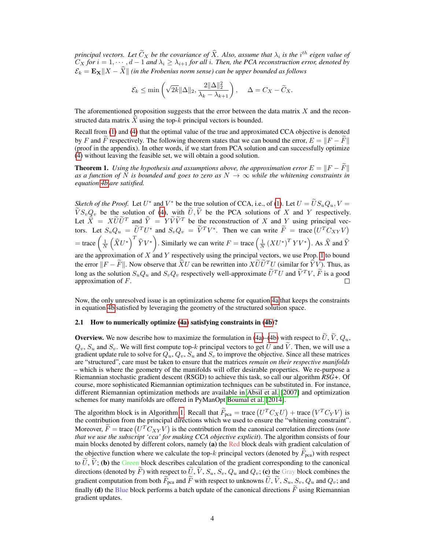*principal vectors. Let*  $\tilde{C}_X$  *be the covariance of*  $\hat{X}$ *. Also, assume that*  $\lambda_i$  *is the i*<sup>th</sup> eigen value of  $\tilde{C}_A$  $C_X$  for  $i = 1, \dots, d-1$  and  $\lambda_i \geq \lambda_{i+1}$  for all i. Then, the PCA reconstruction error, denoted by  $\mathcal{E}_k = \mathbf{E_X} || X - \widehat{X} ||$  *(in the Frobenius norm sense) can be upper bounded as follows* 

$$
\mathcal{E}_k \le \min\left(\sqrt{2k} \|\Delta\|_2, \frac{2\|\Delta\|_2^2}{\lambda_k - \lambda_{k+1}}\right), \quad \Delta = C_X - \widetilde{C}_X.
$$

The aforementioned proposition suggests that the error between the data matrix  $X$  and the reconstructed data matrix  $\hat{X}$  using the top-k principal vectors is bounded.

Recall from [\(1\)](#page-0-0) and [\(4\)](#page-2-1) that the optimal value of the true and approximated CCA objective is denoted by F and F respectively. The following theorem states that we can bound the error,  $E = ||F - F||$ (proof in the appendix). In other words, if we start from PCA solution and can successfully optimize [\(4\)](#page-2-1) without leaving the feasible set, we will obtain a good solution.

**Theorem 1.** *Using the hypothesis and assumptions above, the approximation error*  $E = ||F - \tilde{F}||$ as a function of  $\overline{N}$  is bounded and goes to zero as  $N \to \infty$  while the whitening constraints in *equation [4b](#page-1-0) are satisfied.*

*Sketch of the Proof.* Let  $U^*$  and  $V^*$  be the true solution of CCA, i.e., of [\(1\)](#page-0-0). Let  $U = \tilde{U}S_uQ_u$ ,  $V = \tilde{V}S_uQ_u$  $VS_vQ_v$  be the solution of [\(4\)](#page-2-1), with  $U, V$  be the PCA solutions of X and Y respectively. Let  $\hat{X} = X\tilde{U}\tilde{U}^T$  and  $\hat{Y} = Y\tilde{V}\tilde{V}^T$  be the reconstruction of X and Y using principal vectors. Let  $S_u Q_u = \tilde{U}^T U^*$  and  $S_v Q_v = \tilde{V}^T V^*$ . Then we can write  $\tilde{F} = \text{trace}(U^T C_{XY} V)$ = trace  $\left(\frac{1}{N}\left(\widehat{X}U^*\right)^T \widehat{Y}V^*\right)$ . Similarly we can write  $F = \text{trace}\left(\frac{1}{N}\left(XU^*\right)^T YV^*\right)$ . As  $\widehat{X}$  and  $\widehat{Y}$ are the approximation of  $X$  and  $Y$  respectively using the principal vectors, we use Prop. [1](#page-2-2) to bound the error  $||F - \widetilde{F}||$ . Now observe that  $\widehat{X}U$  can be rewritten into  $X\widetilde{U}\widetilde{U}^T U$  (similar for  $\widehat{Y}V$ ). Thus, as long as the solution  $S_uQ_u$  and  $S_vQ_v$  respectively well-approximate  $\tilde{U}^TU$  and  $\tilde{V}^TU$ ,  $\tilde{F}$  is a good approximation of F.

Now, the only unresolved issue is an optimization scheme for equation [4a](#page-2-3) that keeps the constraints in equation [4b](#page-1-0) satisfied by leveraging the geometry of the structured solution space.

#### 2.1 How to numerically optimize [\(4a\)](#page-2-3) satisfying constraints in [\(4b\)](#page-1-0)?

**Overview.** We now describe how to maximize the formulation in [\(4a\)](#page-2-3)–[\(4b\)](#page-1-0) with respect to  $\tilde{U}$ ,  $\tilde{V}$ ,  $Q_u$ ,  $Q_v$ ,  $S_u$  and  $S_v$ . We will first compute top-k principal vectors to get  $\tilde{U}$  and  $\tilde{V}$ . Then, we will use a gradient update rule to solve for  $Q_u, Q_v, S_u$  and  $S_v$  to improve the objective. Since all these matrices are "structured", care must be taken to ensure that the matrices *remain on their respective manifolds* – which is where the geometry of the manifolds will offer desirable properties. We re-purpose a Riemannian stochastic gradient descent (RSGD) to achieve this task, so call our algorithm *RSG+*. Of course, more sophisticated Riemannian optimization techniques can be substituted in. For instance, different Riemannian optimization methods are available in [Absil et al.](#page-9-0) [\[2007\]](#page-9-0) and optimization schemes for many manifolds are offered in PyManOpt [Boumal et al.](#page-10-10) [\[2014\]](#page-10-10).

The algorithm block is in Algorithm [1.](#page-5-0) Recall that  $\tilde{F}_{\text{pca}} = \text{trace} (U^T C_X U) + \text{trace} (V^T C_Y V)$  is the contribution from the principal directions which we used to ensure the "whitening constraint". Moreover,  $\tilde{F}$  = trace  $(U^T C_{XY} V)$  is the contribution from the canonical correlation directions (*note that we use the subscript 'cca' for making CCA objective explicit*). The algorithm consists of four main blocks denoted by different colors, namely (a) the Red block deals with gradient calculation of the objective function where we calculate the top-k principal vectors (denoted by  $F_{\text{pca}}$ ) with respect to  $\tilde{U}$ ,  $\tilde{V}$ ; (b) the Green block describes calculation of the gradient corresponding to the canonical directions (denoted by  $\widetilde{F}$ ) with respect to  $\widetilde{U}$ ,  $\widetilde{V}$ ,  $S_u$ ,  $S_v$ ,  $Q_u$  and  $Q_v$ ; (c) the Gray block combines the gradient computation from both  $\tilde{F}_{\text{pca}}$  and  $\tilde{F}$  with respect to unknowns  $\tilde{U}, \tilde{V}, S_u, S_v, Q_u$  and  $Q_v$ ; and finally (d) the Blue block performs a batch update of the canonical directions  $\tilde{F}$  using Riemannian gradient updates.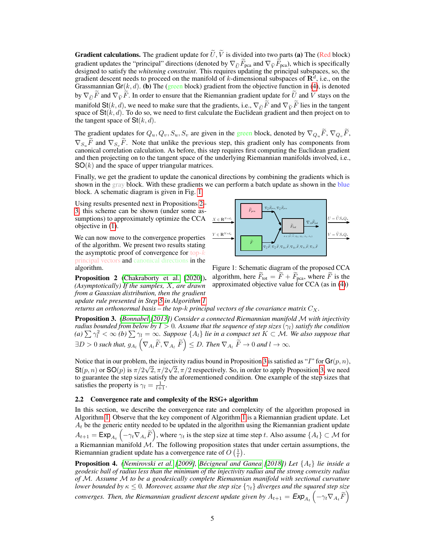**Gradient calculations.** The gradient update for  $\tilde{U}$ ,  $\tilde{V}$  is divided into two parts (a) The (Red block) gradient updates the "principal" directions (denoted by  $\nabla_{\tilde{U}} \tilde{F}_{\text{pca}}$  and  $\nabla_{\tilde{V}} \tilde{F}_{\text{pca}}$ ), which is specifically designed to satisfy the *whitening constraint*. This requires updating the principal subspaces, so, the gradient descent needs to proceed on the manifold of k-dimensional subspaces of  $\mathbb{R}^d$ , i.e., on the Grassmannian Gr( $k, d$ ). (b) The (green block) gradient from the objective function in [\(4\)](#page-2-1), is denoted by  $\nabla_{\widetilde{U}}\widetilde{F}$  and  $\nabla_{\widetilde{V}}\widetilde{F}$ . In order to ensure that the Riemannian gradient update for  $\widetilde{U}$  and  $\widetilde{V}$  stays on the manifold St(k, d), we need to make sure that the gradients, i.e.,  $\nabla_{\tilde{U}}\tilde{F}$  and  $\nabla_{\tilde{V}}\tilde{F}$  lies in the tangent space of  $St(k, d)$ . To do so, we need to first calculate the Euclidean gradient and then project on to the tangent space of  $St(k, d)$ .

The gradient updates for  $Q_u, Q_v, S_u, S_v$  are given in the green block, denoted by  $\nabla_{Q_u} \tilde{F}, \nabla_{Q_v} \tilde{F}$ ,  $\nabla_{S_u} \widetilde{F}$  and  $\nabla_{S_v} \widetilde{F}$ . Note that unlike the previous step, this gradient only has components from canonical correlation calculation. As before, this step requires first computing the Euclidean gradient and then projecting on to the tangent space of the underlying Riemannian manifolds involved, i.e.,  $SO(k)$  and the space of upper triangular matrices.

Finally, we get the gradient to update the canonical directions by combining the gradients which is shown in the gray block. With these gradients we can perform a batch update as shown in the blue block. A schematic diagram is given in Fig. [1.](#page-4-0)

Using results presented next in Propositions [2–](#page-4-1) [3,](#page-4-2) this scheme can be shown (under some assumptions) to approximately optimize the CCA objective in [\(1\)](#page-0-0).

We can now move to the convergence properties of the algorithm. We present two results stating the asymptotic proof of convergence for  $top-k$ principal vectors and canonical directions in the algorithm.

<span id="page-4-1"></span>Proposition 2 [\(Chakraborty et al.](#page-10-11) [\[2020\]](#page-10-11)). *(Asymptotically) If the samples,* X*, are drawn from a Gaussian distribution, then the gradient update rule presented in Step [5](#page-5-1) in Algorithm [1](#page-5-0)*

<span id="page-4-0"></span>

Figure 1: Schematic diagram of the proposed CCA algorithm, here  $F_{\text{tot}} = F + F_{\text{pca}}$ , where F is the approximated objective value for CCA (as in [\(4\)](#page-2-1))

*returns an orthonormal basis – the top-k principal vectors of the covariance matrix*  $C_X$ .

<span id="page-4-2"></span>Proposition 3. *[\(Bonnabel](#page-10-12) [\[2013\]](#page-10-12)) Consider a connected Riemannian manifold* M *with injectivity radius bounded from below by*  $I > 0$ *. Assume that the sequence of step sizes*  $(\gamma_l)$  *satisfy the condition (a)*  $\sum \gamma_l^2 < \infty$  *(b)*  $\sum \gamma_l = \infty$ *. Suppose*  $\{A_l\}$  *lie in a compact set*  $K \subset \mathcal{M}$ *. We also suppose that*  $\exists D>0$  such that,  $g_{A_l}\left(\nabla_{A_l}\widetilde{F},\nabla_{A_l}\ \widetilde{F}\right)\leq D.$  Then  $\nabla_{A_l}\ \widetilde{F}\rightarrow 0$  and  $l\rightarrow\infty.$ 

Notice that in our problem, the injectivity radius bound in Proposition [3](#page-4-2) is satisfied as "I" for  $Gr(p, n)$ ,  $St(p, n)$  or  $SO(p)$  is  $\pi/2\sqrt{2}, \pi/2\sqrt{2}, \pi/2$  respectively. So, in order to apply Proposition [3,](#page-4-2) we need to guarantee the step sizes satisfy the aforementioned condition. One example of the step sizes that satisfies the property is  $\gamma_l = \frac{1}{l+1}$ .

#### 2.2 Convergence rate and complexity of the RSG+ algorithm

In this section, we describe the convergence rate and complexity of the algorithm proposed in Algorithm [1.](#page-5-0) Observe that the key component of Algorithm [1](#page-5-0) is a Riemannian gradient update. Let  $A_t$  be the generic entity needed to be updated in the algorithm using the Riemannian gradient update  $A_{t+1} = \textsf{Exp}_{A_t} \left( -\gamma_t \nabla_{A_t} \widetilde{F} \right)$ , where  $\gamma_t$  is the step size at time step t. Also assume  $\{A_t\} \subset \mathcal{M}$  for a Riemannian manifold  $M$ . The following proposition states that under certain assumptions, the Riemannian gradient update has a convergence rate of  $O\left(\frac{1}{t}\right)$ .

Proposition 4. *[\(Nemirovski et al.](#page-11-8) [\[2009\]](#page-11-8), [Bécigneul and Ganea](#page-10-13) [\[2018\]](#page-10-13)) Let* {At} *lie inside a geodesic ball of radius less than the minimum of the injectivity radius and the strong convexity radius of* M*. Assume* M *to be a geodesically complete Riemannian manifold with sectional curvature lower bounded by*  $\kappa \leq 0$ *. Moreover, assume that the step size*  $\{\gamma_t\}$  *diverges and the squared step size converges. Then, the Riemannian gradient descent update given by*  $A_{t+1} = \textsf{Exp}_{A_t}\left(-\gamma_t \nabla_{A_t} \widetilde{F}\right)$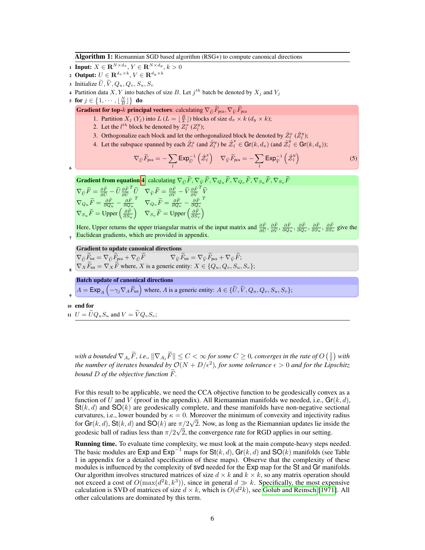Algorithm 1: Riemannian SGD based algorithm (RSG+) to compute canonical directions

- 1 Input:  $X \in \mathbf{R}^{N \times d_x}, Y \in \mathbf{R}^{N \times d_y}, k > 0$
- 2 Output:  $U \in \mathbf{R}^{d_x \times k}, V \in \mathbf{R}^{d_y \times k}$
- 3 Initialize  $\widetilde{U}, \widetilde{V}, Q_u, Q_v, S_u, S_v$
- 4 Partition data X, Y into batches of size B. Let  $j<sup>th</sup>$  batch be denoted by  $X_j$  and  $Y_j$
- 5 for  $j \in \left\{1, \cdots, \left\lfloor \frac{N}{B} \right\rfloor \right\}$  do

**Gradient for top-k principal vectors:** calculating  $\nabla_{\widetilde{U}}\widetilde{F}_{\text{pca}}, \nabla_{\widetilde{V}}\widetilde{F}_{\text{pca}}$ 

- 1. Partition  $X_j(Y_j)$  into  $L(L = \lfloor \frac{B}{k} \rfloor)$  blocks of size  $d_x \times k(d_y \times k)$ ;
- 2. Let the  $l^{th}$  block be denoted by  $Z_l^x$  ( $Z_l^y$ );
- 3. Orthogonalize each block and let the orthogonalized block be denoted by  $\hat{Z}_l^x(\hat{Z}_l^y)$ ;
- 4. Let the subspace spanned by each  $\hat{Z}_l^x$  (and  $\hat{Z}_l^y$ ) be  $\hat{Z}_l^x \in \text{Gr}(k, d_x)$  (and  $\hat{Z}_l^y \in \text{Gr}(k, d_y)$ );

<span id="page-5-1"></span>
$$
\nabla_{\widetilde{U}} \widetilde{F}_{\text{pca}} = -\sum_{l} \text{Exp}_{\widetilde{U}}^{-1} \left( \hat{\mathcal{Z}}_{l}^{x} \right) \quad \nabla_{\widetilde{V}} \widetilde{F}_{\text{pca}} = -\sum_{l} \text{Exp}_{\widetilde{V}}^{-1} \left( \hat{\mathcal{Z}}_{l}^{y} \right) \tag{5}
$$

**Gradient from equation [4](#page-2-1):** calculating  $\nabla_{\tilde{U}}\tilde{F}, \nabla_{\tilde{V}}\tilde{F}, \nabla_{Q_u}\tilde{F}, \nabla_{Q_v}\tilde{F}, \nabla_{S_u}\tilde{F}, \nabla_{S_v}\tilde{F}$ 

 $\nabla_{\widetilde{U}}\widetilde{F}=\frac{\partial F}{\partial\widetilde{U}}-\widetilde{U}\frac{\partial F}{\partial\widetilde{U}}$  $\begin{array}{ccc} {^T}\tilde{U} & \nabla_{\tilde{V}}\widetilde{F}=\frac{\partial \tilde{F}}{\partial \tilde{V}}-\widetilde{V}\frac{\partial \tilde{F}}{\partial \tilde{V}} \nonumber \ & \widetilde{F} & \widetilde{F} \end{array}$  $T\widetilde{V}$  $\nabla_{Q_u}\widetilde{F}=\frac{\partial F}{\partial Q_u}-\frac{\partial F}{\partial Q_u}$  $T \quad \nabla_{Q_v} \widetilde{F} = \frac{\partial \widetilde{F}}{\partial Q_v} - \frac{\partial \widetilde{F}}{\partial Q_v}$ T  $\nabla_{S_u}\widetilde{F} = \mathrm{Upper}\left(\frac{\partial \widetilde{F}}{\partial S_u}\right) \quad \nabla_{S_v}\widetilde{F} = \mathrm{Upper}\left(\frac{\partial \widetilde{F}}{\partial S_v}\right)$ 

Here, Upper returns the upper triangular matrix of the input matrix and  $\frac{\partial F}{\partial \tilde{U}}$ ,  $\frac{\partial F}{\partial \tilde{V}}$ ,  $\frac{\partial F}{\partial Q_u}$ ,  $\frac{\partial F}{\partial Q_v}$ ,  $\frac{\partial F}{\partial S_u}$ ,  $\frac{\partial F}{\partial S_v}$  give the Euclidean gradients, which are provided in appendix.

#### Gradient to update canonical directions

8  $\nabla_{\tilde{U}} F_{\text{tot}} = \nabla_{\tilde{U}} F_{\text{pca}} + \nabla_{\tilde{U}} F$   $\nabla_{\tilde{V}} F_{\text{tot}} = \nabla_{\tilde{V}} F_{\text{pca}} + \nabla_{\tilde{V}} F;$  $\nabla_X F_{\text{tot}} = \nabla_X F$  where, X is a generic entity:  $X \in \{Q_u, Q_v, S_u, S_v\};$ 

Batch update of canonical directions

 $A = \textsf{Exp}_A\left(-\gamma_j \nabla_A \widetilde{F}_{\text{tot}}\right)$  where, A is a generic entity:  $A \in \{ \widetilde{U}, \widetilde{V}, Q_u, Q_v, S_u, S_v \};$ 

<sup>10</sup> end for

6

7

9

<span id="page-5-0"></span>11  $U = \widetilde{U}Q_uS_u$  and  $V = \widetilde{V}Q_vS_v;$ 

*with a bounded*  $\nabla_{A_t}\widetilde{F}$ *, i.e.,*  $\|\nabla_{A_t}\widetilde{F}\| \leq C < \infty$  for some  $C \geq 0$ , converges in the rate of  $O\left(\frac{1}{t}\right)$  with the number of iterates bounded by  $\mathcal{O}(N + D/\epsilon^2)$ , for some tolerance  $\epsilon > 0$  and for the Lipschitz *bound*  $D$  *of the objective function*  $\overline{F}$ *.* 

For this result to be applicable, we need the CCA objective function to be geodesically convex as a function of U and V (proof in the appendix). All Riemannian manifolds we needed, i.e.,  $\mathbf{Gr}(k, d)$ ,  $St(k, d)$  and  $SO(k)$  are geodesically complete, and these manifolds have non-negative sectional curvatures, i.e., lower bounded by  $\kappa = 0$ . Moreover the minimum of convexity and injectivity radius for  $\text{Gr}(k, d)$ ,  $\text{St}(k, d)$  and  $\text{SO}(k)$  are  $\pi/2\sqrt{2}$ . Now, as long as the Riemannian updates lie inside the geodesic ball of radius less than  $\pi/2\sqrt{2}$ , the convergence rate for RGD applies in our setting.

Running time. To evaluate time complexity, we must look at the main compute-heavy steps needed. The basic modules are Exp and Exp<sup>−1</sup> maps for  $St(k, d)$ , Gr(k, d) and SO(k) manifolds (see Table 1 in appendix for a detailed specification of these maps). Observe that the complexity of these modules is influenced by the complexity of svd needed for the Exp map for the St and Gr manifolds. Our algorithm involves structured matrices of size  $d \times k$  and  $k \times k$ , so any matrix operation should not exceed a cost of  $O(\max(d^2k, k^3))$ , since in general  $d \gg k$ . Specifically, the most expensive calculation is SVD of matrices of size  $d \times k$ , which is  $O(d^2k)$ , see [Golub and Reinsch](#page-10-9) [\[1971\]](#page-10-9). All other calculations are dominated by this term.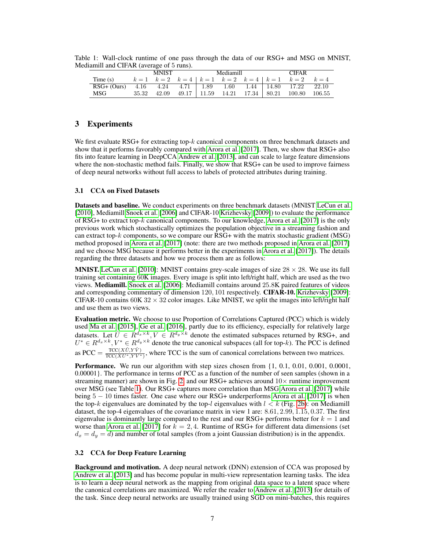|               | <b>MNIST</b> |               |      | Mediamill         |       |  | <b>CIFAR</b>      |                                                       |        |
|---------------|--------------|---------------|------|-------------------|-------|--|-------------------|-------------------------------------------------------|--------|
| Time $(s)$    |              |               |      |                   |       |  |                   | $k=1$ $k=2$ $k=4$ $k=1$ $k=2$ $k=4$ $k=1$ $k=2$ $k=4$ |        |
| $RSG+$ (Ours) |              | $4.16$ $4.24$ | 4.71 | 1.89              | 1.60  |  | $1.44 \pm 14.80$  | 17.22                                                 | 22.10  |
| MSG           | 35.32        | 42.09         |      | $49.17 \pm 11.59$ | 14.21 |  | $17.34 \pm 80.21$ | 100.80                                                | 106.55 |

<span id="page-6-0"></span>Table 1: Wall-clock runtime of one pass through the data of our RSG+ and MSG on MNIST, Mediamill and CIFAR (average of 5 runs).

# 3 Experiments

We first evaluate RSG+ for extracting top-k canonical components on three benchmark datasets and show that it performs favorably compared with [Arora et al.](#page-10-7) [\[2017\]](#page-10-7). Then, we show that RSG+ also fits into feature learning in DeepCCA [Andrew et al.](#page-10-1) [\[2013\]](#page-10-1), and can scale to large feature dimensions where the non-stochastic method fails. Finally, we show that RSG+ can be used to improve fairness of deep neural networks without full access to labels of protected attributes during training.

## 3.1 CCA on Fixed Datasets

Datasets and baseline. We conduct experiments on three benchmark datasets (MNIST [LeCun et al.](#page-11-9) [\[2010\]](#page-11-9), Mediamill [Snoek et al.](#page-11-10) [\[2006\]](#page-11-10) and CIFAR-10 [Krizhevsky](#page-11-11) [\[2009\]](#page-11-11)) to evaluate the performance of RSG+ to extract top-k canonical components. To our knowledge, [Arora et al.](#page-10-7) [\[2017\]](#page-10-7) is the only previous work which stochastically optimizes the population objective in a streaming fashion and can extract top- $k$  components, so we compare our RSG+ with the matrix stochastic gradient (MSG) method proposed in [Arora et al.](#page-10-7) [\[2017\]](#page-10-7) (note: there are two methods proposed in [Arora et al.](#page-10-7) [\[2017\]](#page-10-7) and we choose MSG because it performs better in the experiments in [Arora et al.](#page-10-7) [\[2017\]](#page-10-7)). The details regarding the three datasets and how we process them are as follows:

**MNIST.** [LeCun et al.](#page-11-9) [\[2010\]](#page-11-9): MNIST contains grey-scale images of size  $28 \times 28$ . We use its full training set containing 60K images. Every image is split into left/right half, which are used as the two views. Mediamill. [Snoek et al.](#page-11-10) [\[2006\]](#page-11-10): Mediamill contains around 25.8K paired features of videos and corresponding commentary of dimension 120, 101 respectively. CIFAR-10. [Krizhevsky](#page-11-11) [\[2009\]](#page-11-11): CIFAR-10 contains  $60K32 \times 32$  color images. Like MNIST, we split the images into left/right half and use them as two views.

Evaluation metric. We choose to use Proportion of Correlations Captured (PCC) which is widely used [Ma et al.](#page-11-12) [\[2015\]](#page-11-12), [Ge et al.](#page-10-4) [\[2016\]](#page-10-4), partly due to its efficiency, especially for relatively large datasets. Let  $\hat{U} \in R^{d_x \times k}$ ,  $\hat{V} \in R^{d_y \times k}$  denote the estimated subspaces returned by RSG+, and  $U^* \in R^{d_x \times k}, V^* \in R^{d_y \times k}$  denote the true canonical subspaces (all for top-k). The PCC is defined as PCC =  $\frac{\text{TCC}(X\hat{U}, Y\hat{V})}{\text{TCC}(X\hat{U}^* \ YV^*)}$  $\frac{\text{TC}(X \cup T \cup T)}{\text{TC}(X \cup T^* , Y \cup T^*)}$ , where TCC is the sum of canonical correlations between two matrices.

Performance. We run our algorithm with step sizes chosen from  $\{1, 0.1, 0.01, 0.001, 0.0001,$ 0.00001}. The performance in terms of PCC as a function of the number of seen samples (shown in a streaming manner) are shown in Fig. [2,](#page-7-0) and our RSG+ achieves around  $10\times$  runtime improvement over MSG (see Table [1\)](#page-6-0). Our RSG+ captures more correlation than MSG [Arora et al.](#page-10-7) [\[2017\]](#page-10-7) while being 5 − 10 times faster. One case where our RSG+ underperforms [Arora et al.](#page-10-7) [\[2017\]](#page-10-7) is when the top-k eigenvalues are dominated by the top-l eigenvalues with  $l < k$  (Fig. [2b\)](#page-7-0): on Mediamill dataset, the top-4 eigenvalues of the covariance matrix in view 1 are: 8.61, 2.99, 1.15, 0.37. The first eigenvalue is dominantly large compared to the rest and our RSG+ performs better for  $k = 1$  and worse than [Arora et al.](#page-10-7) [\[2017\]](#page-10-7) for  $k = 2, 4$ . Runtime of RSG+ for different data dimensions (set  $d_x = d_y = d$ ) and number of total samples (from a joint Gaussian distribution) is in the appendix.

#### 3.2 CCA for Deep Feature Learning

Background and motivation. A deep neural network (DNN) extension of CCA was proposed by [Andrew et al.](#page-10-1) [\[2013\]](#page-10-1) and has become popular in multi-view representation learning tasks. The idea is to learn a deep neural network as the mapping from original data space to a latent space where the canonical correlations are maximized. We refer the reader to [Andrew et al.](#page-10-1) [\[2013\]](#page-10-1) for details of the task. Since deep neural networks are usually trained using SGD on mini-batches, this requires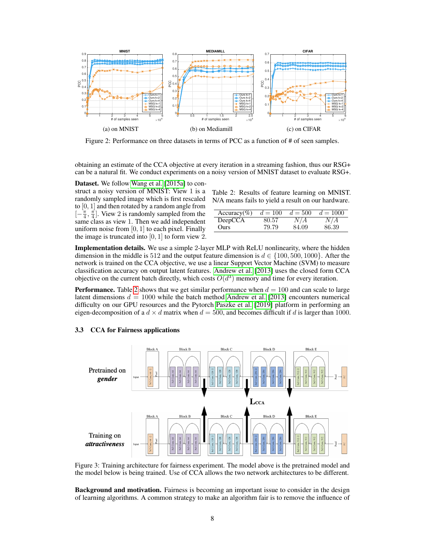<span id="page-7-0"></span>

Figure 2: Performance on three datasets in terms of PCC as a function of # of seen samples.

obtaining an estimate of the CCA objective at every iteration in a streaming fashion, thus our RSG+ can be a natural fit. We conduct experiments on a noisy version of MNIST dataset to evaluate RSG+.

Dataset. We follow [Wang et al.](#page-11-13) [\[2015a\]](#page-11-13) to construct a noisy version of MNIST: View 1 is a randomly sampled image which is first rescaled to [0, 1] and then rotated by a random angle from  $[-\frac{\pi}{4}, \frac{\pi}{4}]$ . View 2 is randomly sampled from the same class as view 1. Then we add independent uniform noise from  $[0, 1]$  to each pixel. Finally the image is truncated into  $[0, 1]$  to form view 2.

<span id="page-7-1"></span>Table 2: Results of feature learning on MNIST. N/A means fails to yield a result on our hardware.

| $Accuracy(\%)$ | $d = 100$ | $d = 500$ | $d = 1000$ |
|----------------|-----------|-----------|------------|
| DeepCCA        | 80.57     | N/A       | N/A        |
| Ours           | 79.79     | 84.09     | 86.39      |

Implementation details. We use a simple 2-layer MLP with ReLU nonlinearity, where the hidden dimension in the middle is 512 and the output feature dimension is  $d \in \{100, 500, 1000\}$ . After the network is trained on the CCA objective, we use a linear Support Vector Machine (SVM) to measure classification accuracy on output latent features. [Andrew et al.](#page-10-1) [\[2013\]](#page-10-1) uses the closed form CCA objective on the current batch directly, which costs  $O(d^3)$  memory and time for every iteration.

**Performance.** Table [2](#page-7-1) shows that we get similar performance when  $d = 100$  and can scale to large latent dimensions  $d = 1000$  while the batch method [Andrew et al.](#page-10-1) [\[2013\]](#page-10-1) encounters numerical difficulty on our GPU resources and the Pytorch [Paszke et al.](#page-11-14) [\[2019\]](#page-11-14) platform in performing an eigen-decomposition of a  $d \times d$  matrix when  $d = 500$ , and becomes difficult if d is larger than 1000.

#### 3.3 CCA for Fairness applications

<span id="page-7-2"></span>

Figure 3: Training architecture for fairness experiment. The model above is the pretrained model and the model below is being trained. Use of CCA allows the two network architectures to be different.

Background and motivation. Fairness is becoming an important issue to consider in the design of learning algorithms. A common strategy to make an algorithm fair is to remove the influence of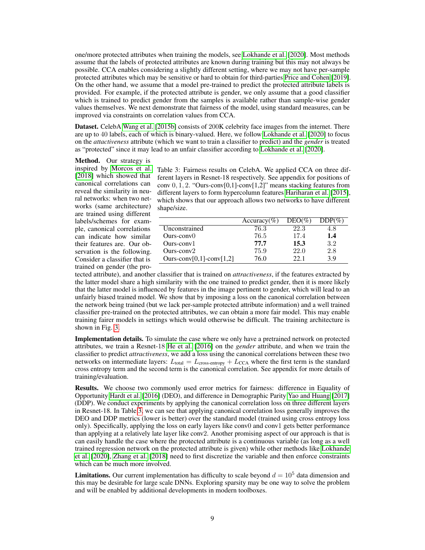one/more protected attributes when training the models, see [Lokhande et al.](#page-11-15) [\[2020\]](#page-11-15). Most methods assume that the labels of protected attributes are known during training but this may not always be possible. CCA enables considering a slightly different setting, where we may not have per-sample protected attributes which may be sensitive or hard to obtain for third-parties [Price and Cohen](#page-11-16) [\[2019\]](#page-11-16). On the other hand, we assume that a model pre-trained to predict the protected attribute labels is provided. For example, if the protected attribute is gender, we only assume that a good classifier which is trained to predict gender from the samples is available rather than sample-wise gender values themselves. We next demonstrate that fairness of the model, using standard measures, can be improved via constraints on correlation values from CCA.

Dataset. CelebA [Wang et al.](#page-11-17) [\[2015b\]](#page-11-17) consists of 200K celebrity face images from the internet. There are up to 40 labels, each of which is binary-valued. Here, we follow [Lokhande et al.](#page-11-15) [\[2020\]](#page-11-15) to focus on the *attactiveness* attribute (which we want to train a classifier to predict) and the *gender* is treated as "protected" since it may lead to an unfair classifier according to [Lokhande et al.](#page-11-15) [\[2020\]](#page-11-15).

Method. Our strategy is [\[2018\]](#page-11-3) which showed that canonical correlations can reveal the similarity in neural networks: when two networks (same architecture) are trained using different labels/schemes for example, canonical correlations can indicate how similar their features are. Our observation is the following. Consider a classifier that is trained on gender (the pro-

inspired by [Morcos et al.](#page-11-3) Table 3: Fairness results on CelebA. We applied CCA on three different layers in Resnet-18 respectively. See appendix for positions of conv 0, 1, 2. "Ours-conv[0,1]-conv[1,2]" means stacking features from different layers to form hypercolumn features [Hariharan et al.](#page-10-14) [\[2015\]](#page-10-14), which shows that our approach allows two networks to have different shape/size.

<span id="page-8-0"></span>

|                          | Accuracy(%) | $DEO(\%)$ | $DDP(\%)$ |
|--------------------------|-------------|-----------|-----------|
| Unconstrained            | 76.3        | 22.3      | 4.8       |
| $Ours-conv()$            | 76.5        | 17.4      | 1.4       |
| $Ours-conv1$             | 77.7        | 15.3      | $3.2\,$   |
| $Qurs-conv2$             | 75.9        | 22.0      | 2.8       |
| Ours-conv[0,1]-conv[1,2] | 76.0        | 22 I      | 39        |

tected attribute), and another classifier that is trained on *attractiveness*, if the features extracted by the latter model share a high similarity with the one trained to predict gender, then it is more likely that the latter model is influenced by features in the image pertinent to gender, which will lead to an unfairly biased trained model. We show that by imposing a loss on the canonical correlation between the network being trained (but we lack per-sample protected attribute information) and a well trained classifier pre-trained on the protected attributes, we can obtain a more fair model. This may enable training fairer models in settings which would otherwise be difficult. The training architecture is shown in Fig. [3.](#page-7-2)

Implementation details. To simulate the case where we only have a pretrained network on protected attributes, we train a Resnet-18 [He et al.](#page-10-15) [\[2016\]](#page-10-15) on the *gender* attribute, and when we train the classifier to predict *attractiveness*, we add a loss using the canonical correlations between these two networks on intermediate layers:  $L_{total} = L_{cross\text{-entropy}} + L_{CCA}$  where the first term is the standard cross entropy term and the second term is the canonical correlation. See appendix for more details of training/evaluation.

Results. We choose two commonly used error metrics for fairness: difference in Equality of Opportunity [Hardt et al.](#page-10-16) [\[2016\]](#page-10-16) (DEO), and difference in Demographic Parity [Yao and Huang](#page-12-0) [\[2017\]](#page-12-0) (DDP). We conduct experiments by applying the canonical correlation loss on three different layers in Resnet-18. In Table [3,](#page-8-0) we can see that applying canonical correlation loss generally improves the DEO and DDP metrics (lower is better) over the standard model (trained using cross entropy loss only). Specifically, applying the loss on early layers like conv0 and conv1 gets better performance than applying at a relatively late layer like conv2. Another promising aspect of our approach is that is can easily handle the case where the protected attribute is a continuous variable (as long as a well trained regression network on the protected attribute is given) while other methods like [Lokhande](#page-11-15) [et al.](#page-11-15) [\[2020\]](#page-11-15), [Zhang et al.](#page-12-1) [\[2018\]](#page-12-1) need to first discretize the variable and then enforce constraints which can be much more involved.

**Limitations.** Our current implementation has difficulty to scale beyond  $d = 10^5$  data dimension and this may be desirable for large scale DNNs. Exploring sparsity may be one way to solve the problem and will be enabled by additional developments in modern toolboxes.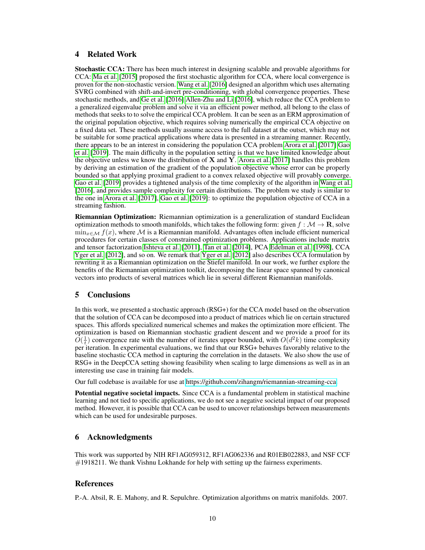# 4 Related Work

Stochastic CCA: There has been much interest in designing scalable and provable algorithms for CCA: [Ma et al.](#page-11-12) [\[2015\]](#page-11-12) proposed the first stochastic algorithm for CCA, where local convergence is proven for the non-stochastic version. [Wang et al.](#page-11-4) [\[2016\]](#page-11-4) designed an algorithm which uses alternating SVRG combined with shift-and-invert pre-conditioning, with global convergence properties. These stochastic methods, and [Ge et al.](#page-10-4) [\[2016\]](#page-10-4) [Allen-Zhu and Li](#page-10-8) [\[2016\]](#page-10-8), which reduce the CCA problem to a generalized eigenvalue problem and solve it via an efficient power method, all belong to the class of methods that seeks to to solve the empirical CCA problem. It can be seen as an ERM approximation of the original population objective, which requires solving numerically the empirical CCA objective on a fixed data set. These methods usually assume access to the full dataset at the outset, which may not be suitable for some practical applications where data is presented in a streaming manner. Recently, there appears to be an interest in considering the population CCA problem [Arora et al.](#page-10-7) [\[2017\]](#page-10-7) [Gao](#page-10-5) [et al.](#page-10-5) [\[2019\]](#page-10-5). The main difficulty in the population setting is that we have limited knowledge about the objective unless we know the distribution of  $X$  and  $Y$ . [Arora et al.](#page-10-7) [\[2017\]](#page-10-7) handles this problem by deriving an estimation of the gradient of the population objective whose error can be properly bounded so that applying proximal gradient to a convex relaxed objective will provably converge. [Gao et al.](#page-10-5) [\[2019\]](#page-10-5) provides a tightened analysis of the time complexity of the algorithm in [Wang et al.](#page-11-4) [\[2016\]](#page-11-4), and provides sample complexity for certain distributions. The problem we study is similar to the one in [Arora et al.](#page-10-7) [\[2017\]](#page-10-7), [Gao et al.](#page-10-5) [\[2019\]](#page-10-5): to optimize the population objective of CCA in a streaming fashion.

Riemannian Optimization: Riemannian optimization is a generalization of standard Euclidean optimization methods to smooth manifolds, which takes the following form: given  $f : \mathcal{M} \to \mathbf{R}$ , solve  $\min_{x \in \mathcal{M}} f(x)$ , where M is a Riemannian manifold. Advantages often include efficient numerical procedures for certain classes of constrained optimization problems. Applications include matrix and tensor factorization [Ishteva et al.](#page-10-17) [\[2011\]](#page-10-17), [Tan et al.](#page-11-18) [\[2014\]](#page-11-18), PCA [Edelman et al.](#page-10-18) [\[1998\]](#page-10-18), CCA [Yger et al.](#page-12-2) [\[2012\]](#page-12-2), and so on. We remark that [Yger et al.](#page-12-2) [\[2012\]](#page-12-2) also describes CCA formulation by rewriting it as a Riemannian optimization on the Stiefel manifold. In our work, we further explore the benefits of the Riemannian optimization toolkit, decomposing the linear space spanned by canonical vectors into products of several matrices which lie in several different Riemannian manifolds.

# 5 Conclusions

In this work, we presented a stochastic approach (RSG+) for the CCA model based on the observation that the solution of CCA can be decomposed into a product of matrices which lie on certain structured spaces. This affords specialized numerical schemes and makes the optimization more efficient. The optimization is based on Riemannian stochastic gradient descent and we provide a proof for its  $\tilde{O}(\frac{1}{t})$  convergence rate with the number of iterates upper bounded, with  $\tilde{O}(d^2k)$  time complexity per iteration. In experimental evaluations, we find that our RSG+ behaves favorably relative to the baseline stochastic CCA method in capturing the correlation in the datasets. We also show the use of RSG+ in the DeepCCA setting showing feasibility when scaling to large dimensions as well as in an interesting use case in training fair models.

Our full codebase is available for use at [https://github.com/zihangm/riemannian-streaming-cca.](https://github.com/zihangm/riemannian-streaming-cca)

Potential negative societal impacts. Since CCA is a fundamental problem in statistical machine learning and not tied to specific applications, we do not see a negative societal impact of our proposed method. However, it is possible that CCA can be used to uncover relationships between measurements which can be used for undesirable purposes.

# 6 Acknowledgments

This work was supported by NIH RF1AG059312, RF1AG062336 and R01EB022883, and NSF CCF  $#1918211$ . We thank Vishnu Lokhande for help with setting up the fairness experiments.

## References

<span id="page-9-0"></span>P.-A. Absil, R. E. Mahony, and R. Sepulchre. Optimization algorithms on matrix manifolds. 2007.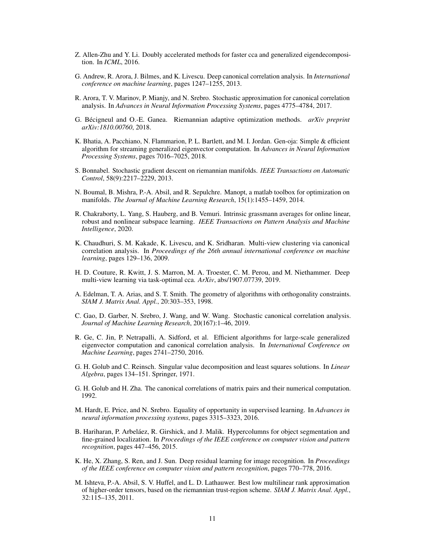- <span id="page-10-8"></span>Z. Allen-Zhu and Y. Li. Doubly accelerated methods for faster cca and generalized eigendecomposition. In *ICML*, 2016.
- <span id="page-10-1"></span>G. Andrew, R. Arora, J. Bilmes, and K. Livescu. Deep canonical correlation analysis. In *International conference on machine learning*, pages 1247–1255, 2013.
- <span id="page-10-7"></span>R. Arora, T. V. Marinov, P. Mianjy, and N. Srebro. Stochastic approximation for canonical correlation analysis. In *Advances in Neural Information Processing Systems*, pages 4775–4784, 2017.
- <span id="page-10-13"></span>G. Bécigneul and O.-E. Ganea. Riemannian adaptive optimization methods. *arXiv preprint arXiv:1810.00760*, 2018.
- <span id="page-10-6"></span>K. Bhatia, A. Pacchiano, N. Flammarion, P. L. Bartlett, and M. I. Jordan. Gen-oja: Simple & efficient algorithm for streaming generalized eigenvector computation. In *Advances in Neural Information Processing Systems*, pages 7016–7025, 2018.
- <span id="page-10-12"></span>S. Bonnabel. Stochastic gradient descent on riemannian manifolds. *IEEE Transactions on Automatic Control*, 58(9):2217–2229, 2013.
- <span id="page-10-10"></span>N. Boumal, B. Mishra, P.-A. Absil, and R. Sepulchre. Manopt, a matlab toolbox for optimization on manifolds. *The Journal of Machine Learning Research*, 15(1):1455–1459, 2014.
- <span id="page-10-11"></span>R. Chakraborty, L. Yang, S. Hauberg, and B. Vemuri. Intrinsic grassmann averages for online linear, robust and nonlinear subspace learning. *IEEE Transactions on Pattern Analysis and Machine Intelligence*, 2020.
- <span id="page-10-0"></span>K. Chaudhuri, S. M. Kakade, K. Livescu, and K. Sridharan. Multi-view clustering via canonical correlation analysis. In *Proceedings of the 26th annual international conference on machine learning*, pages 129–136, 2009.
- <span id="page-10-2"></span>H. D. Couture, R. Kwitt, J. S. Marron, M. A. Troester, C. M. Perou, and M. Niethammer. Deep multi-view learning via task-optimal cca. *ArXiv*, abs/1907.07739, 2019.
- <span id="page-10-18"></span>A. Edelman, T. A. Arias, and S. T. Smith. The geometry of algorithms with orthogonality constraints. *SIAM J. Matrix Anal. Appl.*, 20:303–353, 1998.
- <span id="page-10-5"></span>C. Gao, D. Garber, N. Srebro, J. Wang, and W. Wang. Stochastic canonical correlation analysis. *Journal of Machine Learning Research*, 20(167):1–46, 2019.
- <span id="page-10-4"></span>R. Ge, C. Jin, P. Netrapalli, A. Sidford, et al. Efficient algorithms for large-scale generalized eigenvector computation and canonical correlation analysis. In *International Conference on Machine Learning*, pages 2741–2750, 2016.
- <span id="page-10-9"></span>G. H. Golub and C. Reinsch. Singular value decomposition and least squares solutions. In *Linear Algebra*, pages 134–151. Springer, 1971.
- <span id="page-10-3"></span>G. H. Golub and H. Zha. The canonical correlations of matrix pairs and their numerical computation. 1992.
- <span id="page-10-16"></span>M. Hardt, E. Price, and N. Srebro. Equality of opportunity in supervised learning. In *Advances in neural information processing systems*, pages 3315–3323, 2016.
- <span id="page-10-14"></span>B. Hariharan, P. Arbeláez, R. Girshick, and J. Malik. Hypercolumns for object segmentation and fine-grained localization. In *Proceedings of the IEEE conference on computer vision and pattern recognition*, pages 447–456, 2015.
- <span id="page-10-15"></span>K. He, X. Zhang, S. Ren, and J. Sun. Deep residual learning for image recognition. In *Proceedings of the IEEE conference on computer vision and pattern recognition*, pages 770–778, 2016.
- <span id="page-10-17"></span>M. Ishteva, P.-A. Absil, S. V. Huffel, and L. D. Lathauwer. Best low multilinear rank approximation of higher-order tensors, based on the riemannian trust-region scheme. *SIAM J. Matrix Anal. Appl.*, 32:115–135, 2011.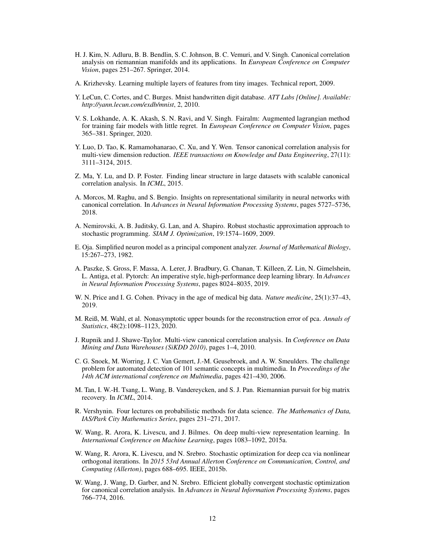- <span id="page-11-2"></span>H. J. Kim, N. Adluru, B. B. Bendlin, S. C. Johnson, B. C. Vemuri, and V. Singh. Canonical correlation analysis on riemannian manifolds and its applications. In *European Conference on Computer Vision*, pages 251–267. Springer, 2014.
- <span id="page-11-11"></span>A. Krizhevsky. Learning multiple layers of features from tiny images. Technical report, 2009.
- <span id="page-11-9"></span>Y. LeCun, C. Cortes, and C. Burges. Mnist handwritten digit database. *ATT Labs [Online]. Available: http://yann.lecun.com/exdb/mnist*, 2, 2010.
- <span id="page-11-15"></span>V. S. Lokhande, A. K. Akash, S. N. Ravi, and V. Singh. Fairalm: Augmented lagrangian method for training fair models with little regret. In *European Conference on Computer Vision*, pages 365–381. Springer, 2020.
- <span id="page-11-1"></span>Y. Luo, D. Tao, K. Ramamohanarao, C. Xu, and Y. Wen. Tensor canonical correlation analysis for multi-view dimension reduction. *IEEE transactions on Knowledge and Data Engineering*, 27(11): 3111–3124, 2015.
- <span id="page-11-12"></span>Z. Ma, Y. Lu, and D. P. Foster. Finding linear structure in large datasets with scalable canonical correlation analysis. In *ICML*, 2015.
- <span id="page-11-3"></span>A. Morcos, M. Raghu, and S. Bengio. Insights on representational similarity in neural networks with canonical correlation. In *Advances in Neural Information Processing Systems*, pages 5727–5736, 2018.
- <span id="page-11-8"></span>A. Nemirovski, A. B. Juditsky, G. Lan, and A. Shapiro. Robust stochastic approximation approach to stochastic programming. *SIAM J. Optimization*, 19:1574–1609, 2009.
- <span id="page-11-5"></span>E. Oja. Simplified neuron model as a principal component analyzer. *Journal of Mathematical Biology*, 15:267–273, 1982.
- <span id="page-11-14"></span>A. Paszke, S. Gross, F. Massa, A. Lerer, J. Bradbury, G. Chanan, T. Killeen, Z. Lin, N. Gimelshein, L. Antiga, et al. Pytorch: An imperative style, high-performance deep learning library. In *Advances in Neural Information Processing Systems*, pages 8024–8035, 2019.
- <span id="page-11-16"></span>W. N. Price and I. G. Cohen. Privacy in the age of medical big data. *Nature medicine*, 25(1):37–43, 2019.
- <span id="page-11-7"></span>M. Reiß, M. Wahl, et al. Nonasymptotic upper bounds for the reconstruction error of pca. *Annals of Statistics*, 48(2):1098–1123, 2020.
- <span id="page-11-0"></span>J. Rupnik and J. Shawe-Taylor. Multi-view canonical correlation analysis. In *Conference on Data Mining and Data Warehouses (SiKDD 2010)*, pages 1–4, 2010.
- <span id="page-11-10"></span>C. G. Snoek, M. Worring, J. C. Van Gemert, J.-M. Geusebroek, and A. W. Smeulders. The challenge problem for automated detection of 101 semantic concepts in multimedia. In *Proceedings of the 14th ACM international conference on Multimedia*, pages 421–430, 2006.
- <span id="page-11-18"></span>M. Tan, I. W.-H. Tsang, L. Wang, B. Vandereycken, and S. J. Pan. Riemannian pursuit for big matrix recovery. In *ICML*, 2014.
- <span id="page-11-6"></span>R. Vershynin. Four lectures on probabilistic methods for data science. *The Mathematics of Data, IAS/Park City Mathematics Series*, pages 231–271, 2017.
- <span id="page-11-13"></span>W. Wang, R. Arora, K. Livescu, and J. Bilmes. On deep multi-view representation learning. In *International Conference on Machine Learning*, pages 1083–1092, 2015a.
- <span id="page-11-17"></span>W. Wang, R. Arora, K. Livescu, and N. Srebro. Stochastic optimization for deep cca via nonlinear orthogonal iterations. In *2015 53rd Annual Allerton Conference on Communication, Control, and Computing (Allerton)*, pages 688–695. IEEE, 2015b.
- <span id="page-11-4"></span>W. Wang, J. Wang, D. Garber, and N. Srebro. Efficient globally convergent stochastic optimization for canonical correlation analysis. In *Advances in Neural Information Processing Systems*, pages 766–774, 2016.